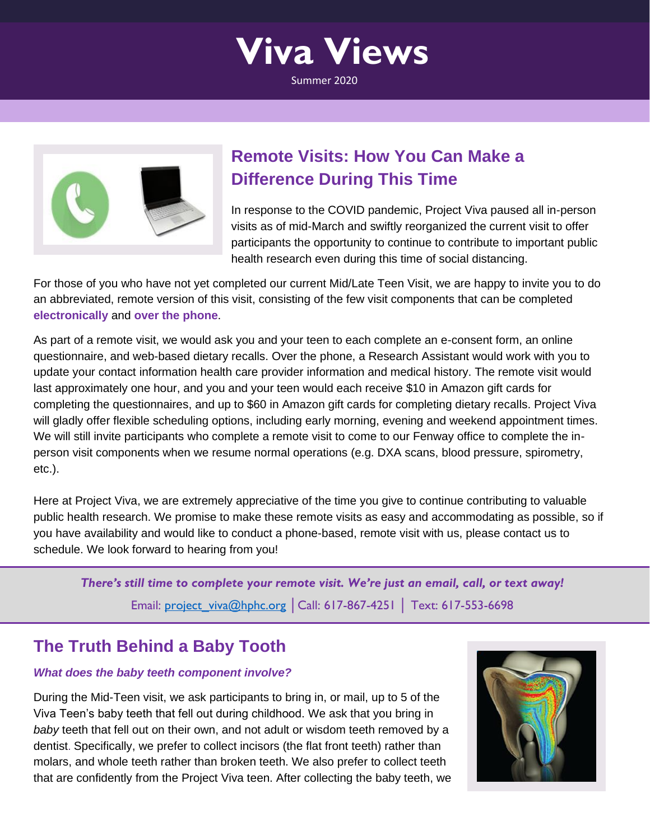



## **Remote Visits: How You Can Make a Difference During This Time**

In response to the COVID pandemic, Project Viva paused all in-person visits as of mid-March and swiftly reorganized the current visit to offer participants the opportunity to continue to contribute to important public health research even during this time of social distancing.

For those of you who have not yet completed our current Mid/Late Teen Visit, we are happy to invite you to do an abbreviated, remote version of this visit, consisting of the few visit components that can be completed **electronically** and **over the phone**.

As part of a remote visit, we would ask you and your teen to each complete an e-consent form, an online questionnaire, and web-based dietary recalls. Over the phone, a Research Assistant would work with you to update your contact information health care provider information and medical history. The remote visit would last approximately one hour, and you and your teen would each receive \$10 in Amazon gift cards for completing the questionnaires, and up to \$60 in Amazon gift cards for completing dietary recalls. Project Viva will gladly offer flexible scheduling options, including early morning, evening and weekend appointment times. We will still invite participants who complete a remote visit to come to our Fenway office to complete the inperson visit components when we resume normal operations (e.g. DXA scans, blood pressure, spirometry, etc.).

Here at Project Viva, we are extremely appreciative of the time you give to continue contributing to valuable public health research. We promise to make these remote visits as easy and accommodating as possible, so if you have availability and would like to conduct a phone-based, remote visit with us, please contact us to schedule. We look forward to hearing from you!

*There's still time to complete your remote visit. We're just an email, call, or text away!* Email: [project\\_viva@hphc.org](mailto:project_viva@hphc.org) | Call: 617-867-4251 | Text: 617-553-6698

### **The Truth Behind a Baby Tooth**

#### *What does the baby teeth component involve?*

During the Mid-Teen visit, we ask participants to bring in, or mail, up to 5 of the Viva Teen's baby teeth that fell out during childhood. We ask that you bring in *baby* teeth that fell out on their own, and not adult or wisdom teeth removed by a dentist. Specifically, we prefer to collect incisors (the flat front teeth) rather than molars, and whole teeth rather than broken teeth. We also prefer to collect teeth that are confidently from the Project Viva teen. After collecting the baby teeth, we

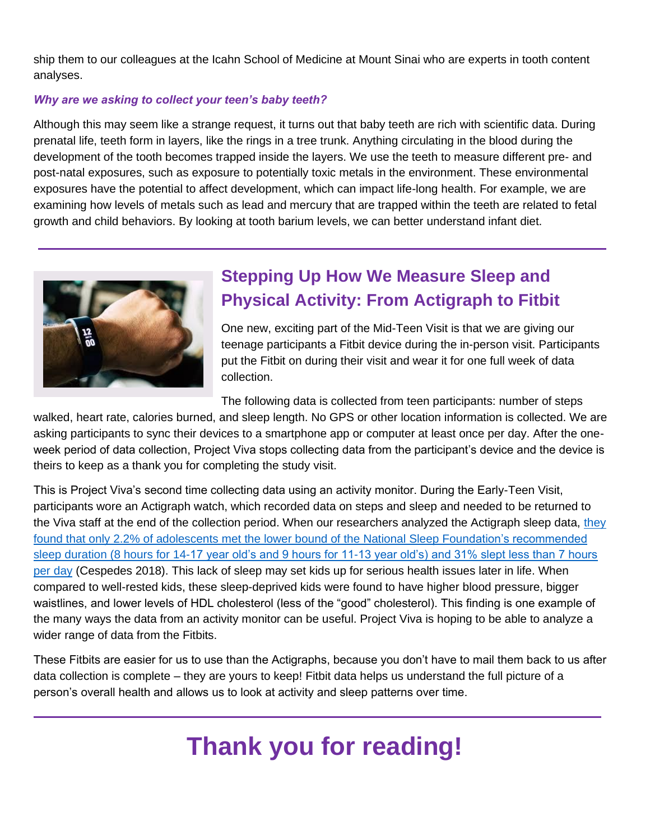ship them to our colleagues at the Icahn School of Medicine at Mount Sinai who are experts in tooth content analyses.

#### *Why are we asking to collect your teen's baby teeth?*

Although this may seem like a strange request, it turns out that baby teeth are rich with scientific data. During prenatal life, teeth form in layers, like the rings in a tree trunk. Anything circulating in the blood during the development of the tooth becomes trapped inside the layers. We use the teeth to measure different pre- and post-natal exposures, such as exposure to potentially toxic metals in the environment. These environmental exposures have the potential to affect development, which can impact life-long health. For example, we are examining how levels of metals such as lead and mercury that are trapped within the teeth are related to fetal growth and child behaviors. By looking at tooth barium levels, we can better understand infant diet.



## **Stepping Up How We Measure Sleep and Physical Activity: From Actigraph to Fitbit**

One new, exciting part of the Mid-Teen Visit is that we are giving our teenage participants a Fitbit device during the in-person visit. Participants put the Fitbit on during their visit and wear it for one full week of data collection.

<span id="page-1-0"></span>The following data is collected from teen participants: number of steps

walked, heart rate, calories burned, and sleep length. No GPS or other location information is collected. We are asking participants to sync their devices to a smartphone app or computer at least once per day. After the oneweek period of data collection, Project Viva stops collecting data from the participant's device and the device is theirs to keep as a thank you for completing the study visit.

This is Project Viva's second time collecting data using an activity monitor. During the Early-Teen Visit, participants wore an Actigraph watch, which recorded data on steps and sleep and needed to be returned to the Viva staff at the end of the collection period. When our researchers analyzed the Actigraph sleep data, [they](https://www.ncbi.nlm.nih.gov/pubmed/29907703)  [found that only 2.2% of adolescents met the lower bound of the National Sleep Foundation's recommended](https://www.ncbi.nlm.nih.gov/pubmed/29907703)  [sleep duration \(8 hours for 14-17 year old's and 9 hours for 11-13 year old's\) and 31% slept less than 7 hours](https://www.ncbi.nlm.nih.gov/pubmed/29907703)  [per day](https://www.ncbi.nlm.nih.gov/pubmed/29907703) (Cespedes 2018). This lack of sleep may set kids up for serious health issues later in life. When compared to well-rested kids, these sleep-deprived kids were found to have higher blood pressure, bigger waistlines, and lower levels of HDL cholesterol (less of the "good" cholesterol). This finding is one example of the many ways the data from an activity monitor can be useful. Project Viva is hoping to be able to analyze a wider range of data from the Fitbits.

These Fitbits are easier for us to use than the Actigraphs, because you don't have to mail them back to us after data collection is complete – they are yours to keep! Fitbit data helps us understand the full picture of a person's overall health and allows us to look at activity and sleep patterns over time.

# **Thank you for reading!**